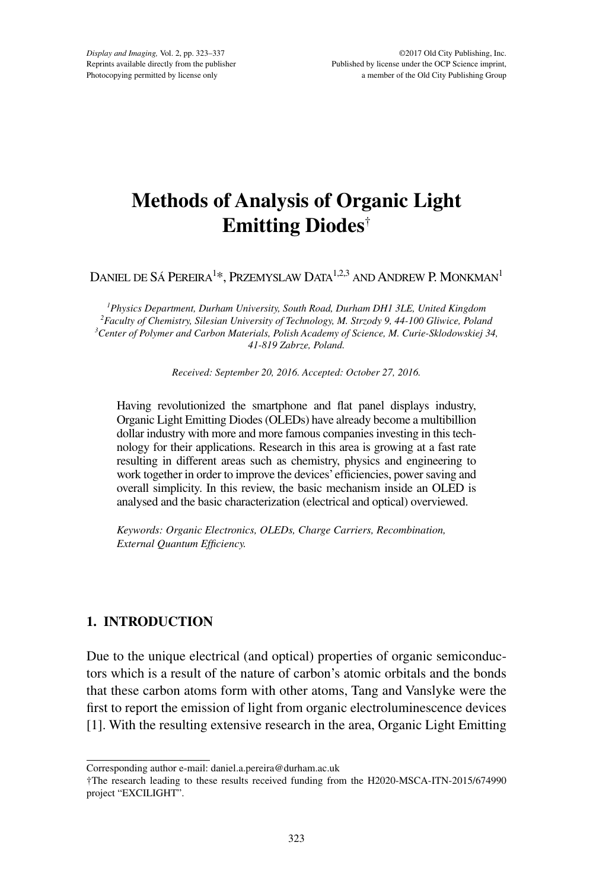# **Methods of Analysis of Organic Light Emitting Diodes**†

Daniel de Sá Pereira $^{1\ast}$ , Przemyslaw Data $^{1,2,3}$  and Andrew P. Monkman $^{1}$ 

 *Physics Department, Durham University, South Road, Durham DH1 3LE, United Kingdom Faculty of Chemistry, Silesian University of Technology, M. Strzody 9, 44-100 Gliwice, Poland Center of Polymer and Carbon Materials, Polish Academy of Science, M. Curie-Sklodowskiej 34, 41-819 Zabrze, Poland.*

*Received: September 20, 2016. Accepted: October 27, 2016.*

Having revolutionized the smartphone and flat panel displays industry, Organic Light Emitting Diodes (OLEDs) have already become a multibillion dollar industry with more and more famous companies investing in this technology for their applications. Research in this area is growing at a fast rate resulting in different areas such as chemistry, physics and engineering to work together in order to improve the devices' efficiencies, power saving and overall simplicity. In this review, the basic mechanism inside an OLED is analysed and the basic characterization (electrical and optical) overviewed.

*Keywords: Organic Electronics, OLEDs, Charge Carriers, Recombination, External Quantum Efficiency.*

# **1. INTRODUCTION**

Due to the unique electrical (and optical) properties of organic semiconductors which is a result of the nature of carbon's atomic orbitals and the bonds that these carbon atoms form with other atoms, Tang and Vanslyke were the first to report the emission of light from organic electroluminescence devices [1]. With the resulting extensive research in the area, Organic Light Emitting

Corresponding author e-mail: daniel.a.pereira@durham.ac.uk

<sup>†</sup>The research leading to these results received funding from the H2020-MSCA-ITN-2015/674990 project "EXCILIGHT".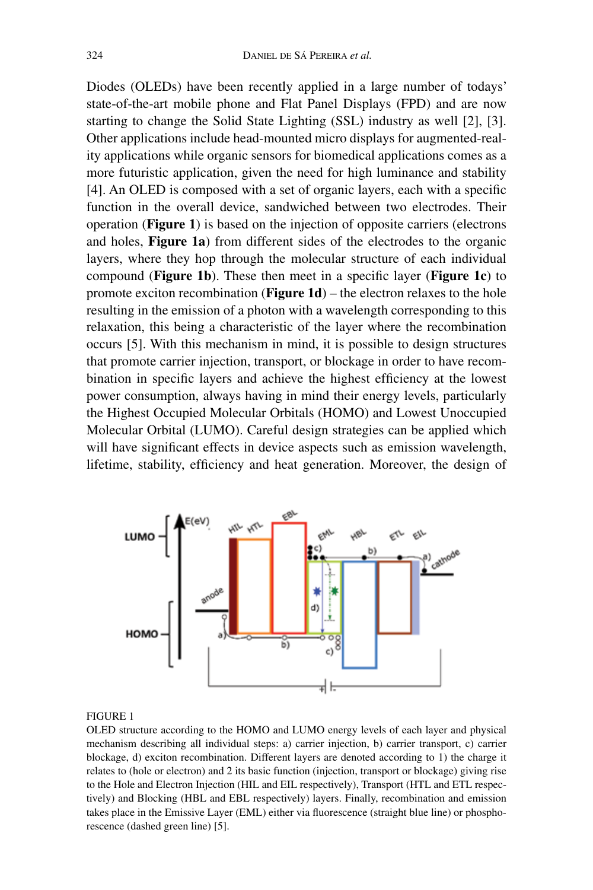Diodes (OLEDs) have been recently applied in a large number of todays' state-of-the-art mobile phone and Flat Panel Displays (FPD) and are now starting to change the Solid State Lighting (SSL) industry as well [2], [3]. Other applications include head-mounted micro displays for augmented-reality applications while organic sensors for biomedical applications comes as a more futuristic application, given the need for high luminance and stability [4]. An OLED is composed with a set of organic layers, each with a specific function in the overall device, sandwiched between two electrodes. Their operation (**Figure 1**) is based on the injection of opposite carriers (electrons and holes, **Figure 1a**) from different sides of the electrodes to the organic layers, where they hop through the molecular structure of each individual compound (**Figure 1b**). These then meet in a specific layer (**Figure 1c**) to promote exciton recombination (**Figure 1d**) – the electron relaxes to the hole resulting in the emission of a photon with a wavelength corresponding to this relaxation, this being a characteristic of the layer where the recombination occurs [5]. With this mechanism in mind, it is possible to design structures that promote carrier injection, transport, or blockage in order to have recombination in specific layers and achieve the highest efficiency at the lowest power consumption, always having in mind their energy levels, particularly the Highest Occupied Molecular Orbitals (HOMO) and Lowest Unoccupied Molecular Orbital (LUMO). Careful design strategies can be applied which will have significant effects in device aspects such as emission wavelength, lifetime, stability, efficiency and heat generation. Moreover, the design of



### Figure 1

OLED structure according to the HOMO and LUMO energy levels of each layer and physical mechanism describing all individual steps: a) carrier injection, b) carrier transport, c) carrier blockage, d) exciton recombination. Different layers are denoted according to 1) the charge it relates to (hole or electron) and 2 its basic function (injection, transport or blockage) giving rise to the Hole and Electron Injection (HIL and EIL respectively), Transport (HTL and ETL respectively) and Blocking (HBL and EBL respectively) layers. Finally, recombination and emission takes place in the Emissive Layer (EML) either via fluorescence (straight blue line) or phosphorescence (dashed green line) [5].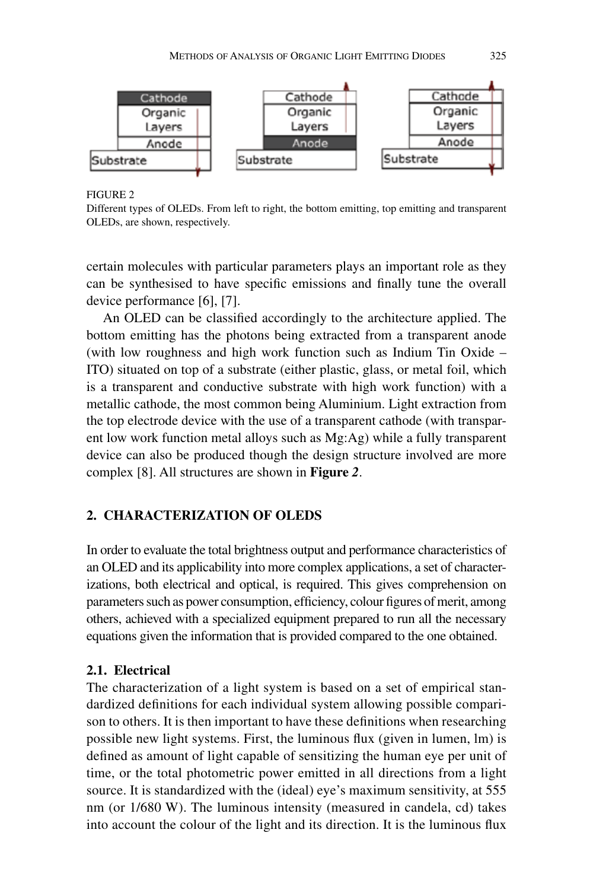

Different types of OLEDs. From left to right, the bottom emitting, top emitting and transparent OLEDs, are shown, respectively.

certain molecules with particular parameters plays an important role as they can be synthesised to have specific emissions and finally tune the overall device performance [6], [7].

An OLED can be classified accordingly to the architecture applied. The bottom emitting has the photons being extracted from a transparent anode (with low roughness and high work function such as Indium Tin Oxide – ITO) situated on top of a substrate (either plastic, glass, or metal foil, which is a transparent and conductive substrate with high work function) with a metallic cathode, the most common being Aluminium. Light extraction from the top electrode device with the use of a transparent cathode (with transparent low work function metal alloys such as Mg:Ag) while a fully transparent device can also be produced though the design structure involved are more complex [8]. All structures are shown in **Figure** *2*.

# **2. CHARACTERIZATION OF OLEDs**

In order to evaluate the total brightness output and performance characteristics of an OLED and its applicability into more complex applications, a set of characterizations, both electrical and optical, is required. This gives comprehension on parameters such as power consumption, efficiency, colour figures of merit, among others, achieved with a specialized equipment prepared to run all the necessary equations given the information that is provided compared to the one obtained.

# **2.1. Electrical**

The characterization of a light system is based on a set of empirical standardized definitions for each individual system allowing possible comparison to others. It is then important to have these definitions when researching possible new light systems. First, the luminous flux (given in lumen, lm) is defined as amount of light capable of sensitizing the human eye per unit of time, or the total photometric power emitted in all directions from a light source. It is standardized with the (ideal) eye's maximum sensitivity, at 555 nm (or 1/680 W). The luminous intensity (measured in candela, cd) takes into account the colour of the light and its direction. It is the luminous flux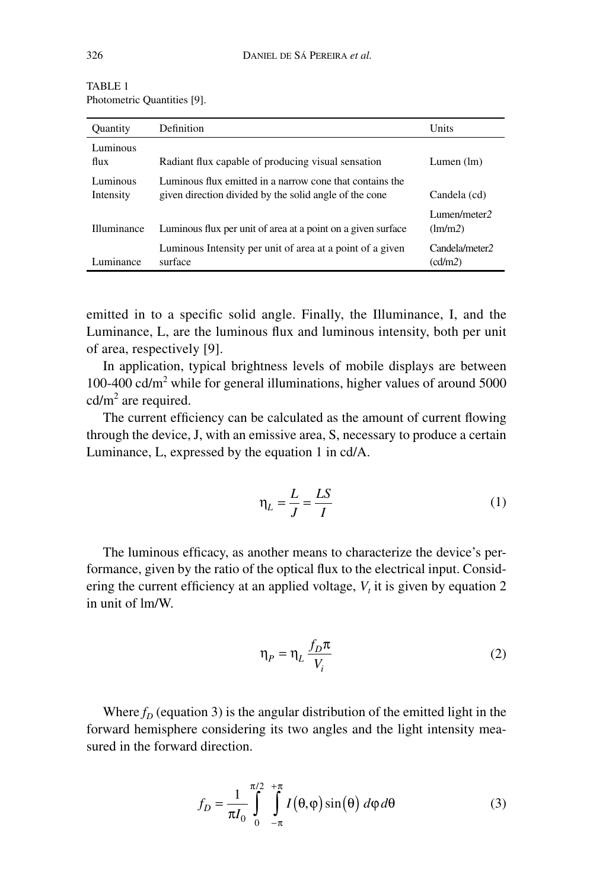| <b>Ouantity</b>       | Definition                                                                                                         | Units                     |
|-----------------------|--------------------------------------------------------------------------------------------------------------------|---------------------------|
| Luminous<br>flux      | Radiant flux capable of producing visual sensation                                                                 | Lumen $(lm)$              |
| Luminous<br>Intensity | Luminous flux emitted in a narrow cone that contains the<br>given direction divided by the solid angle of the cone | Candela (cd)              |
| Illuminance           | Luminous flux per unit of area at a point on a given surface                                                       | Lumen/meter2<br>(lm/m2)   |
| Luminance             | Luminous Intensity per unit of area at a point of a given<br>surface                                               | Candela/meter2<br>(cd/m2) |

TABLE 1 Photometric Quantities [9].

emitted in to a specific solid angle. Finally, the Illuminance, I, and the Luminance, L, are the luminous flux and luminous intensity, both per unit of area, respectively [9].

In application, typical brightness levels of mobile displays are between 100-400 cd/m<sup>2</sup> while for general illuminations, higher values of around 5000  $cd/m<sup>2</sup>$  are required.

The current efficiency can be calculated as the amount of current flowing through the device, J, with an emissive area, S, necessary to produce a certain Luminance, L, expressed by the equation 1 in cd/A.

$$
\eta_L = \frac{L}{J} = \frac{LS}{I} \tag{1}
$$

The luminous efficacy, as another means to characterize the device's performance, given by the ratio of the optical flux to the electrical input. Considering the current efficiency at an applied voltage,  $V<sub>t</sub>$  it is given by equation 2 in unit of lm/W.

$$
\eta_P = \eta_L \frac{f_D \pi}{V_i} \tag{2}
$$

Where  $f_D$  (equation 3) is the angular distribution of the emitted light in the forward hemisphere considering its two angles and the light intensity measured in the forward direction.

$$
f_D = \frac{1}{\pi I_0} \int_{0}^{\pi/2} \int_{-\pi}^{+\pi} I(\theta, \varphi) \sin(\theta) d\varphi d\theta
$$
 (3)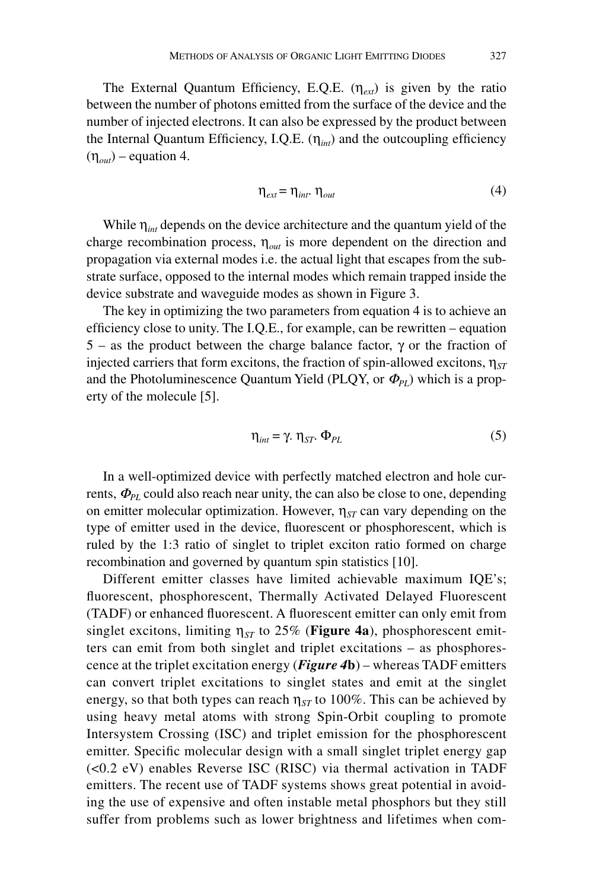The External Quantum Efficiency, E.Q.E.  $(\eta_{ext})$  is given by the ratio between the number of photons emitted from the surface of the device and the number of injected electrons. It can also be expressed by the product between the Internal Quantum Efficiency, I.Q.E. (η*int*) and the outcoupling efficiency  $(\eta_{out})$  – equation 4.

$$
\eta_{ext} = \eta_{int}, \eta_{out} \tag{4}
$$

While η*int* depends on the device architecture and the quantum yield of the charge recombination process,  $\eta_{out}$  is more dependent on the direction and propagation via external modes i.e. the actual light that escapes from the substrate surface, opposed to the internal modes which remain trapped inside the device substrate and waveguide modes as shown in Figure 3.

The key in optimizing the two parameters from equation 4 is to achieve an efficiency close to unity. The I.Q.E., for example, can be rewritten – equation 5 – as the product between the charge balance factor, γ or the fraction of injected carriers that form excitons, the fraction of spin-allowed excitons,  $\eta_{ST}$ and the Photoluminescence Quantum Yield (PLQY, or  $\Phi_{PI}$ ) which is a property of the molecule [5].

$$
\eta_{int} = \gamma. \eta_{ST} \Phi_{PL} \tag{5}
$$

In a well-optimized device with perfectly matched electron and hole currents,  $\Phi_{PL}$  could also reach near unity, the can also be close to one, depending on emitter molecular optimization. However,  $\eta_{ST}$  can vary depending on the type of emitter used in the device, fluorescent or phosphorescent, which is ruled by the 1:3 ratio of singlet to triplet exciton ratio formed on charge recombination and governed by quantum spin statistics [10].

Different emitter classes have limited achievable maximum IQE's; fluorescent, phosphorescent, Thermally Activated Delayed Fluorescent (TADF) or enhanced fluorescent. A fluorescent emitter can only emit from singlet excitons, limiting  $\eta_{ST}$  to 25% (**Figure 4a**), phosphorescent emitters can emit from both singlet and triplet excitations – as phosphorescence at the triplet excitation energy (*Figure 4***b**) – whereas TADF emitters can convert triplet excitations to singlet states and emit at the singlet energy, so that both types can reach  $\eta_{ST}$  to 100%. This can be achieved by using heavy metal atoms with strong Spin-Orbit coupling to promote Intersystem Crossing (ISC) and triplet emission for the phosphorescent emitter. Specific molecular design with a small singlet triplet energy gap (<0.2 eV) enables Reverse ISC (RISC) via thermal activation in TADF emitters. The recent use of TADF systems shows great potential in avoiding the use of expensive and often instable metal phosphors but they still suffer from problems such as lower brightness and lifetimes when com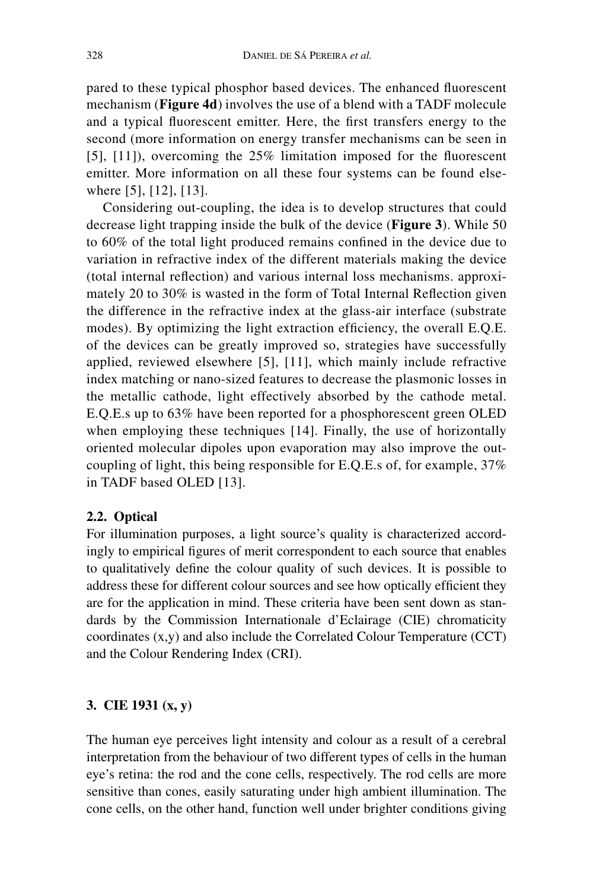pared to these typical phosphor based devices. The enhanced fluorescent mechanism (**Figure 4d**) involves the use of a blend with a TADF molecule and a typical fluorescent emitter. Here, the first transfers energy to the second (more information on energy transfer mechanisms can be seen in [5], [11]), overcoming the 25% limitation imposed for the fluorescent emitter. More information on all these four systems can be found elsewhere [5], [12], [13].

Considering out-coupling, the idea is to develop structures that could decrease light trapping inside the bulk of the device (**Figure 3**). While 50 to 60% of the total light produced remains confined in the device due to variation in refractive index of the different materials making the device (total internal reflection) and various internal loss mechanisms. approximately 20 to 30% is wasted in the form of Total Internal Reflection given the difference in the refractive index at the glass-air interface (substrate modes). By optimizing the light extraction efficiency, the overall E.Q.E. of the devices can be greatly improved so, strategies have successfully applied, reviewed elsewhere [5], [11], which mainly include refractive index matching or nano-sized features to decrease the plasmonic losses in the metallic cathode, light effectively absorbed by the cathode metal. E.Q.E.s up to 63% have been reported for a phosphorescent green OLED when employing these techniques [14]. Finally, the use of horizontally oriented molecular dipoles upon evaporation may also improve the outcoupling of light, this being responsible for E.Q.E.s of, for example, 37% in TADF based OLED [13].

# **2.2. Optical**

For illumination purposes, a light source's quality is characterized accordingly to empirical figures of merit correspondent to each source that enables to qualitatively define the colour quality of such devices. It is possible to address these for different colour sources and see how optically efficient they are for the application in mind. These criteria have been sent down as standards by the Commission Internationale d'Eclairage (CIE) chromaticity coordinates (x,y) and also include the Correlated Colour Temperature (CCT) and the Colour Rendering Index (CRI).

# **3. CIE 1931 (x, y)**

The human eye perceives light intensity and colour as a result of a cerebral interpretation from the behaviour of two different types of cells in the human eye's retina: the rod and the cone cells, respectively. The rod cells are more sensitive than cones, easily saturating under high ambient illumination. The cone cells, on the other hand, function well under brighter conditions giving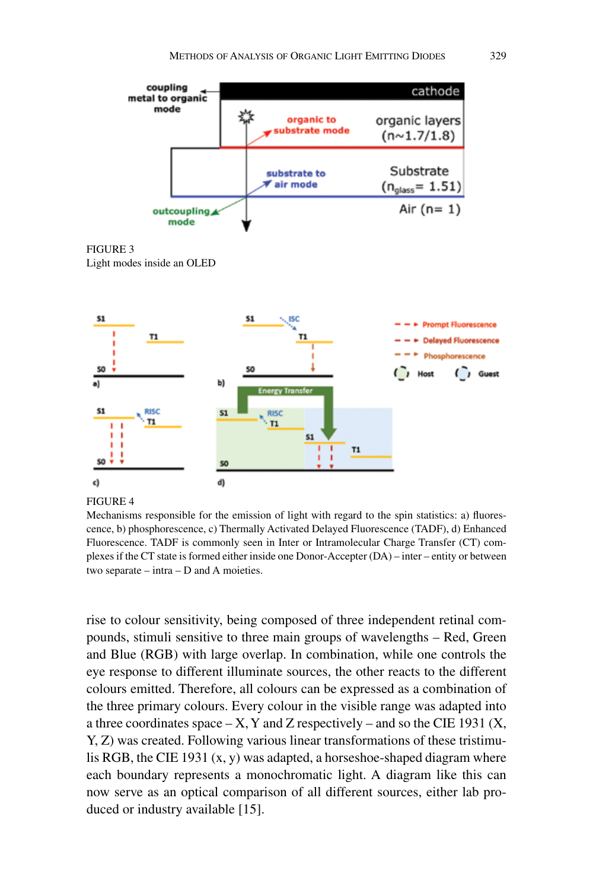

Mechanisms responsible for the emission of light with regard to the spin statistics: a) fluorescence, b) phosphorescence, c) Thermally Activated Delayed Fluorescence (TADF), d) Enhanced Fluorescence. TADF is commonly seen in Inter or Intramolecular Charge Transfer (CT) complexes if the CT state is formed either inside one Donor-Accepter (DA) – inter – entity or between two separate – intra – D and A moieties.

rise to colour sensitivity, being composed of three independent retinal compounds, stimuli sensitive to three main groups of wavelengths – Red, Green and Blue (RGB) with large overlap. In combination, while one controls the eye response to different illuminate sources, the other reacts to the different colours emitted. Therefore, all colours can be expressed as a combination of the three primary colours. Every colour in the visible range was adapted into a three coordinates space  $-X$ , Y and Z respectively – and so the CIE 1931 (X, Y, Z) was created. Following various linear transformations of these tristimulis RGB, the CIE 1931  $(x, y)$  was adapted, a horseshoe-shaped diagram where each boundary represents a monochromatic light. A diagram like this can now serve as an optical comparison of all different sources, either lab produced or industry available [15].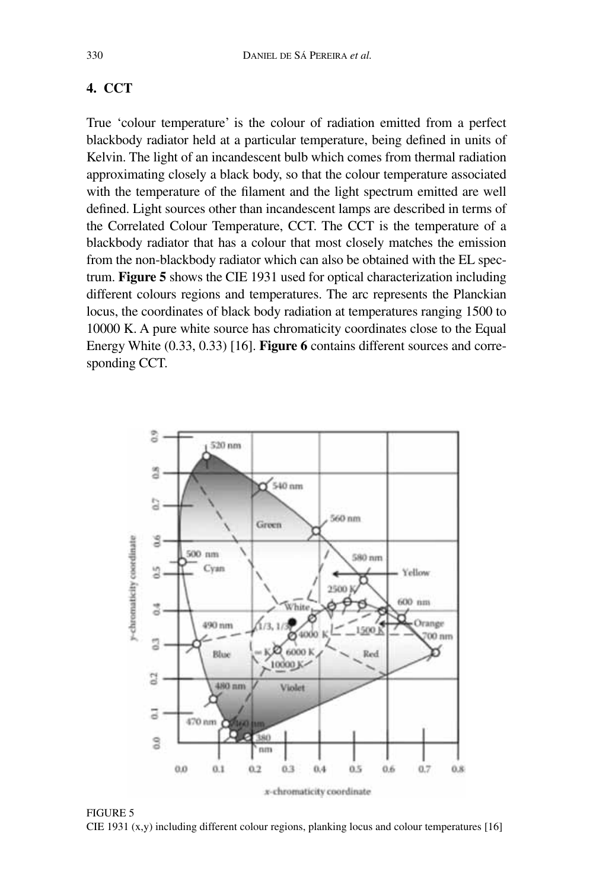# **4. CCT**

True 'colour temperature' is the colour of radiation emitted from a perfect blackbody radiator held at a particular temperature, being defined in units of Kelvin. The light of an incandescent bulb which comes from thermal radiation approximating closely a black body, so that the colour temperature associated with the temperature of the filament and the light spectrum emitted are well defined. Light sources other than incandescent lamps are described in terms of the Correlated Colour Temperature, CCT. The CCT is the temperature of a blackbody radiator that has a colour that most closely matches the emission from the non-blackbody radiator which can also be obtained with the EL spectrum. **Figure 5** shows the CIE 1931 used for optical characterization including different colours regions and temperatures. The arc represents the Planckian locus, the coordinates of black body radiation at temperatures ranging 1500 to 10000 K. A pure white source has chromaticity coordinates close to the Equal Energy White (0.33, 0.33) [16]. **Figure 6** contains different sources and corresponding CCT.



Figure 5 CIE 1931 (x,y) including different colour regions, planking locus and colour temperatures [16]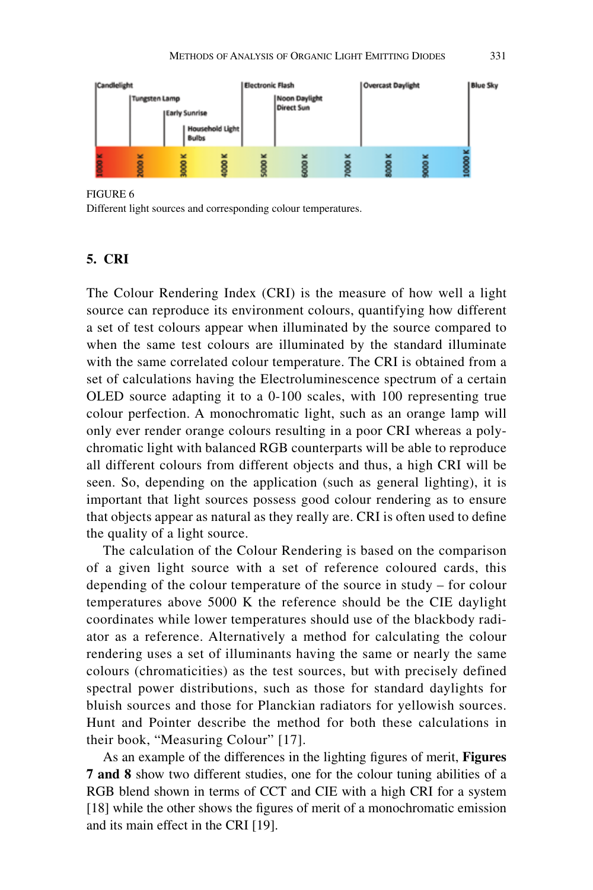

Figure 6 Different light sources and corresponding colour temperatures.

# **5. CRI**

The Colour Rendering Index (CRI) is the measure of how well a light source can reproduce its environment colours, quantifying how different a set of test colours appear when illuminated by the source compared to when the same test colours are illuminated by the standard illuminate with the same correlated colour temperature. The CRI is obtained from a set of calculations having the Electroluminescence spectrum of a certain OLED source adapting it to a 0-100 scales, with 100 representing true colour perfection. A monochromatic light, such as an orange lamp will only ever render orange colours resulting in a poor CRI whereas a polychromatic light with balanced RGB counterparts will be able to reproduce all different colours from different objects and thus, a high CRI will be seen. So, depending on the application (such as general lighting), it is important that light sources possess good colour rendering as to ensure that objects appear as natural as they really are. CRI is often used to define the quality of a light source.

The calculation of the Colour Rendering is based on the comparison of a given light source with a set of reference coloured cards, this depending of the colour temperature of the source in study – for colour temperatures above 5000 K the reference should be the CIE daylight coordinates while lower temperatures should use of the blackbody radiator as a reference. Alternatively a method for calculating the colour rendering uses a set of illuminants having the same or nearly the same colours (chromaticities) as the test sources, but with precisely defined spectral power distributions, such as those for standard daylights for bluish sources and those for Planckian radiators for yellowish sources. Hunt and Pointer describe the method for both these calculations in their book, "Measuring Colour" [17].

As an example of the differences in the lighting figures of merit, **Figures 7 and 8** show two different studies, one for the colour tuning abilities of a RGB blend shown in terms of CCT and CIE with a high CRI for a system [18] while the other shows the figures of merit of a monochromatic emission and its main effect in the CRI [19].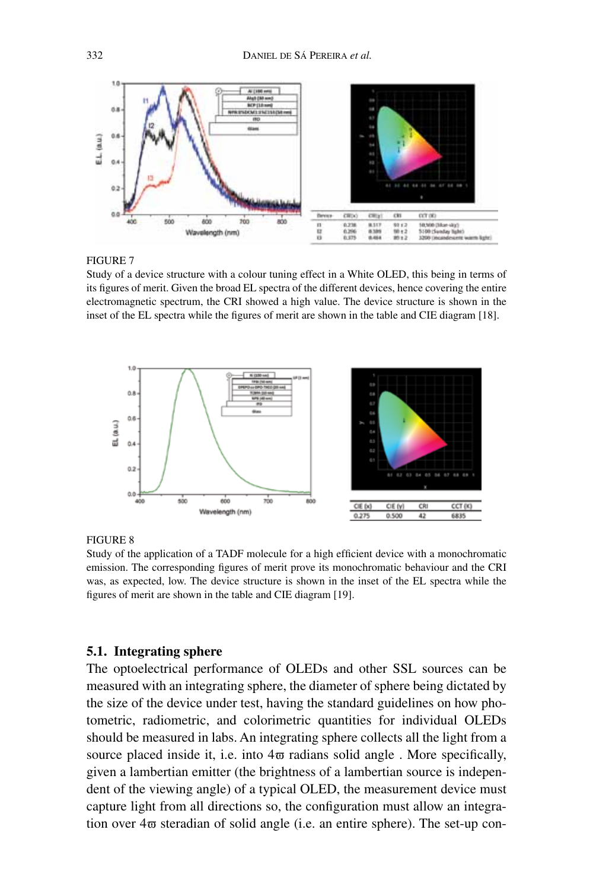

Figure 7

Study of a device structure with a colour tuning effect in a White OLED, this being in terms of its figures of merit. Given the broad EL spectra of the different devices, hence covering the entire electromagnetic spectrum, the CRI showed a high value. The device structure is shown in the inset of the EL spectra while the figures of merit are shown in the table and CIE diagram [18].



Study of the application of a TADF molecule for a high efficient device with a monochromatic emission. The corresponding figures of merit prove its monochromatic behaviour and the CRI was, as expected, low. The device structure is shown in the inset of the EL spectra while the figures of merit are shown in the table and CIE diagram [19].

# **5.1. Integrating sphere**

The optoelectrical performance of OLEDs and other SSL sources can be measured with an integrating sphere, the diameter of sphere being dictated by the size of the device under test, having the standard guidelines on how photometric, radiometric, and colorimetric quantities for individual OLEDs should be measured in labs. An integrating sphere collects all the light from a source placed inside it, i.e. into  $4\overline{\omega}$  radians solid angle. More specifically, given a lambertian emitter (the brightness of a lambertian source is independent of the viewing angle) of a typical OLED, the measurement device must capture light from all directions so, the configuration must allow an integration over  $4\pi$  steradian of solid angle (i.e. an entire sphere). The set-up con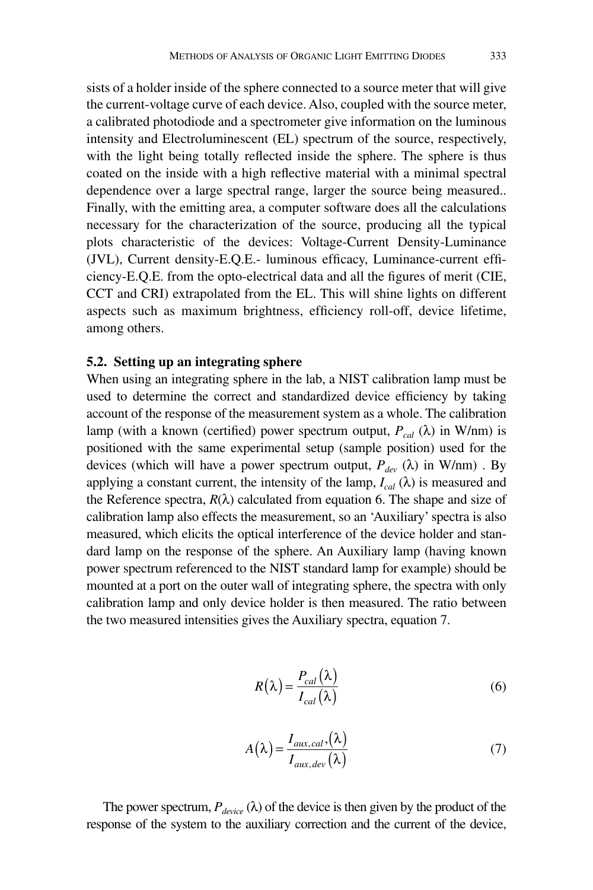sists of a holder inside of the sphere connected to a source meter that will give the current-voltage curve of each device. Also, coupled with the source meter, a calibrated photodiode and a spectrometer give information on the luminous intensity and Electroluminescent (EL) spectrum of the source, respectively, with the light being totally reflected inside the sphere. The sphere is thus coated on the inside with a high reflective material with a minimal spectral dependence over a large spectral range, larger the source being measured.. Finally, with the emitting area, a computer software does all the calculations necessary for the characterization of the source, producing all the typical plots characteristic of the devices: Voltage-Current Density-Luminance (JVL), Current density-E.Q.E.- luminous efficacy, Luminance-current efficiency-E.Q.E. from the opto-electrical data and all the figures of merit (CIE, CCT and CRI) extrapolated from the EL. This will shine lights on different aspects such as maximum brightness, efficiency roll-off, device lifetime, among others.

### **5.2. Setting up an integrating sphere**

When using an integrating sphere in the lab, a NIST calibration lamp must be used to determine the correct and standardized device efficiency by taking account of the response of the measurement system as a whole. The calibration lamp (with a known (certified) power spectrum output,  $P_{cal}(\lambda)$  in W/nm) is positioned with the same experimental setup (sample position) used for the devices (which will have a power spectrum output,  $P_{dev}(\lambda)$  in W/nm). By applying a constant current, the intensity of the lamp,  $I_{cal}(\lambda)$  is measured and the Reference spectra,  $R(\lambda)$  calculated from equation 6. The shape and size of calibration lamp also effects the measurement, so an 'Auxiliary' spectra is also measured, which elicits the optical interference of the device holder and standard lamp on the response of the sphere. An Auxiliary lamp (having known power spectrum referenced to the NIST standard lamp for example) should be mounted at a port on the outer wall of integrating sphere, the spectra with only calibration lamp and only device holder is then measured. The ratio between the two measured intensities gives the Auxiliary spectra, equation 7.

$$
R(\lambda) = \frac{P_{cal}(\lambda)}{I_{cal}(\lambda)}
$$
(6)

$$
A(\lambda) = \frac{I_{aux,cal}(\lambda)}{I_{aux,dev}(\lambda)}
$$
(7)

The power spectrum,  $P_{device}(\lambda)$  of the device is then given by the product of the response of the system to the auxiliary correction and the current of the device,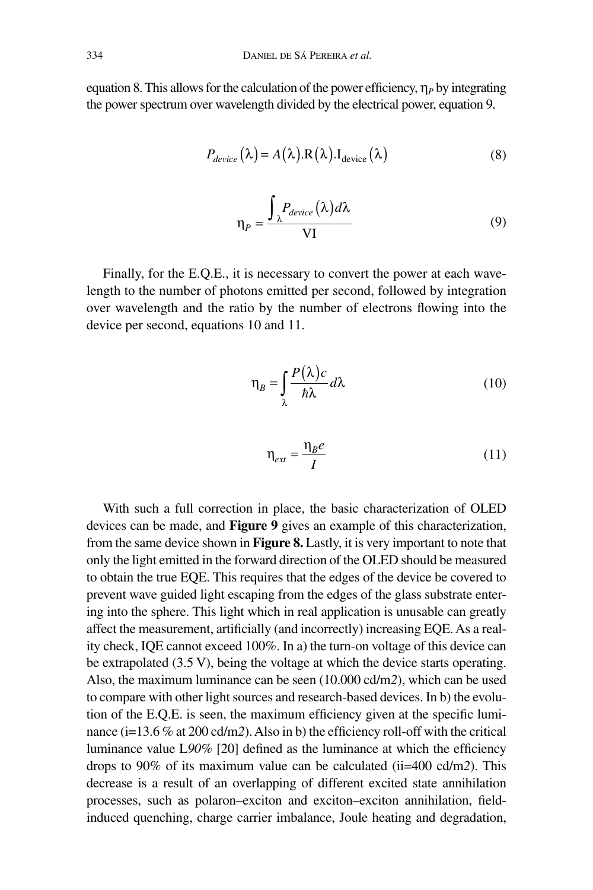equation 8. This allows for the calculation of the power efficiency,  $\eta_p$  by integrating the power spectrum over wavelength divided by the electrical power, equation 9.

$$
P_{device}(\lambda) = A(\lambda).R(\lambda).I_{device}(\lambda)
$$
\n(8)

$$
\eta_P = \frac{\int_{\lambda} P_{device}(\lambda) d\lambda}{\text{VI}}
$$
(9)

Finally, for the E.Q.E., it is necessary to convert the power at each wavelength to the number of photons emitted per second, followed by integration over wavelength and the ratio by the number of electrons flowing into the device per second, equations 10 and 11.

$$
\eta_B = \int_{\lambda} \frac{P(\lambda)c}{\hbar \lambda} d\lambda \tag{10}
$$

$$
\eta_{ext} = \frac{\eta_B e}{I} \tag{11}
$$

With such a full correction in place, the basic characterization of OLED devices can be made, and **Figure 9** gives an example of this characterization, from the same device shown in **Figure 8.** Lastly, it is very important to note that only the light emitted in the forward direction of the OLED should be measured to obtain the true EQE. This requires that the edges of the device be covered to prevent wave guided light escaping from the edges of the glass substrate entering into the sphere. This light which in real application is unusable can greatly affect the measurement, artificially (and incorrectly) increasing EQE. As a reality check, IQE cannot exceed 100%. In a) the turn-on voltage of this device can be extrapolated (3.5 V), being the voltage at which the device starts operating. Also, the maximum luminance can be seen (10.000 cd/m*2*), which can be used to compare with other light sources and research-based devices. In b) the evolution of the E.Q.E. is seen, the maximum efficiency given at the specific luminance (i=13.6 % at 200 cd/m*2*). Also in b) the efficiency roll-off with the critical luminance value L*90%* [20] defined as the luminance at which the efficiency drops to 90% of its maximum value can be calculated (ii=400 cd/m*2*). This decrease is a result of an overlapping of different excited state annihilation processes, such as polaron–exciton and exciton–exciton annihilation, fieldinduced quenching, charge carrier imbalance, Joule heating and degradation,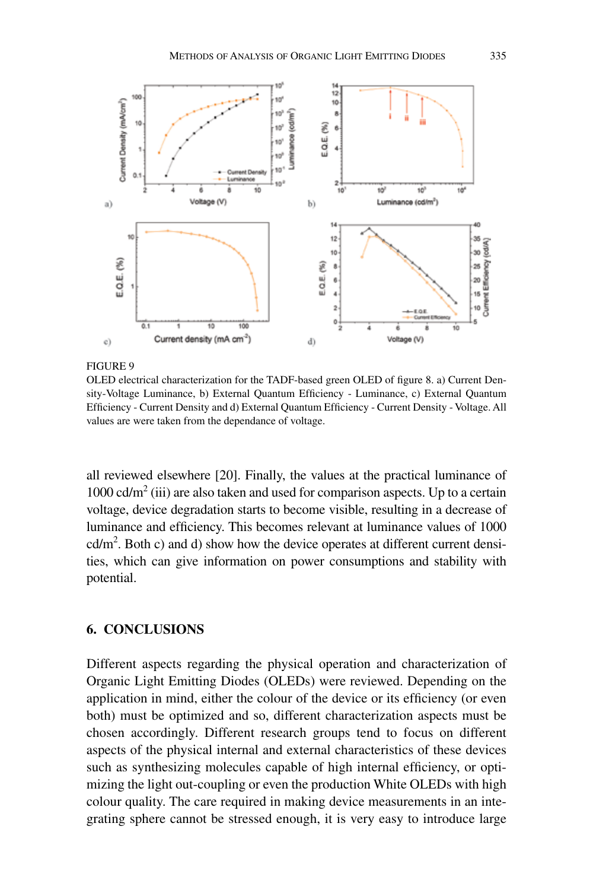

OLED electrical characterization for the TADF-based green OLED of figure 8. a) Current Density-Voltage Luminance, b) External Quantum Efficiency - Luminance, c) External Quantum Efficiency - Current Density and d) External Quantum Efficiency - Current Density - Voltage. All values are were taken from the dependance of voltage.

all reviewed elsewhere [20]. Finally, the values at the practical luminance of 1000 cd/ $m<sup>2</sup>$  (iii) are also taken and used for comparison aspects. Up to a certain voltage, device degradation starts to become visible, resulting in a decrease of luminance and efficiency. This becomes relevant at luminance values of 1000  $\text{cd/m}^2$ . Both c) and d) show how the device operates at different current densities, which can give information on power consumptions and stability with potential.

### **6. CONCLUSIONS**

Different aspects regarding the physical operation and characterization of Organic Light Emitting Diodes (OLEDs) were reviewed. Depending on the application in mind, either the colour of the device or its efficiency (or even both) must be optimized and so, different characterization aspects must be chosen accordingly. Different research groups tend to focus on different aspects of the physical internal and external characteristics of these devices such as synthesizing molecules capable of high internal efficiency, or optimizing the light out-coupling or even the production White OLEDs with high colour quality. The care required in making device measurements in an integrating sphere cannot be stressed enough, it is very easy to introduce large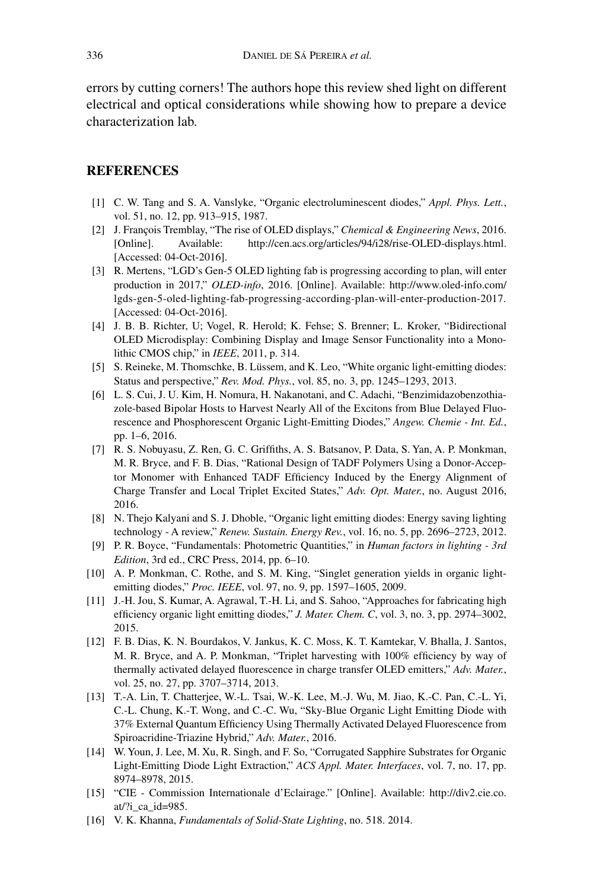errors by cutting corners! The authors hope this review shed light on different electrical and optical considerations while showing how to prepare a device characterization lab.

### **REFERENCES**

- [1] C. W. Tang and S. A. Vanslyke, "Organic electroluminescent diodes," *Appl. Phys. Lett.*, vol. 51, no. 12, pp. 913–915, 1987.
- [2] J. François Tremblay, "The rise of OLED displays," *Chemical & Engineering News*, 2016. [Online]. Available: http://cen.acs.org/articles/94/i28/rise-OLED-displays.html. [Accessed: 04-Oct-2016].
- [3] R. Mertens, "LGD's Gen-5 OLED lighting fab is progressing according to plan, will enter production in 2017," *OLED-info*, 2016. [Online]. Available: http://www.oled-info.com/ lgds-gen-5-oled-lighting-fab-progressing-according-plan-will-enter-production-2017. [Accessed: 04-Oct-2016].
- [4] J. B. B. Richter, U; Vogel, R. Herold; K. Fehse; S. Brenner; L. Kroker, "Bidirectional OLED Microdisplay: Combining Display and Image Sensor Functionality into a Monolithic CMOS chip," in *IEEE*, 2011, p. 314.
- [5] S. Reineke, M. Thomschke, B. Lüssem, and K. Leo, "White organic light-emitting diodes: Status and perspective," *Rev. Mod. Phys.*, vol. 85, no. 3, pp. 1245–1293, 2013.
- [6] L. S. Cui, J. U. Kim, H. Nomura, H. Nakanotani, and C. Adachi, "Benzimidazobenzothiazole-based Bipolar Hosts to Harvest Nearly All of the Excitons from Blue Delayed Fluorescence and Phosphorescent Organic Light-Emitting Diodes," *Angew. Chemie - Int. Ed.*, pp. 1–6, 2016.
- [7] R. S. Nobuyasu, Z. Ren, G. C. Griffiths, A. S. Batsanov, P. Data, S. Yan, A. P. Monkman, M. R. Bryce, and F. B. Dias, "Rational Design of TADF Polymers Using a Donor-Acceptor Monomer with Enhanced TADF Efficiency Induced by the Energy Alignment of Charge Transfer and Local Triplet Excited States," *Adv. Opt. Mater.*, no. August 2016, 2016.
- [8] N. Thejo Kalyani and S. J. Dhoble, "Organic light emitting diodes: Energy saving lighting technology - A review," *Renew. Sustain. Energy Rev.*, vol. 16, no. 5, pp. 2696–2723, 2012.
- [9] P. R. Boyce, "Fundamentals: Photometric Quantities," in *Human factors in lighting 3rd Edition*, 3rd ed., CRC Press, 2014, pp. 6–10.
- [10] A. P. Monkman, C. Rothe, and S. M. King, "Singlet generation yields in organic lightemitting diodes," *Proc. IEEE*, vol. 97, no. 9, pp. 1597–1605, 2009.
- [11] J.-H. Jou, S. Kumar, A. Agrawal, T.-H. Li, and S. Sahoo, "Approaches for fabricating high efficiency organic light emitting diodes," *J. Mater. Chem. C*, vol. 3, no. 3, pp. 2974–3002, 2015.
- [12] F. B. Dias, K. N. Bourdakos, V. Jankus, K. C. Moss, K. T. Kamtekar, V. Bhalla, J. Santos, M. R. Bryce, and A. P. Monkman, "Triplet harvesting with 100% efficiency by way of thermally activated delayed fluorescence in charge transfer OLED emitters," *Adv. Mater.*, vol. 25, no. 27, pp. 3707–3714, 2013.
- [13] T.-A. Lin, T. Chatterjee, W.-L. Tsai, W.-K. Lee, M.-J. Wu, M. Jiao, K.-C. Pan, C.-L. Yi, C.-L. Chung, K.-T. Wong, and C.-C. Wu, "Sky-Blue Organic Light Emitting Diode with 37% External Quantum Efficiency Using Thermally Activated Delayed Fluorescence from Spiroacridine-Triazine Hybrid," *Adv. Mater.*, 2016.
- [14] W. Youn, J. Lee, M. Xu, R. Singh, and F. So, "Corrugated Sapphire Substrates for Organic Light-Emitting Diode Light Extraction," *ACS Appl. Mater. Interfaces*, vol. 7, no. 17, pp. 8974–8978, 2015.
- [15] "CIE Commission Internationale d'Eclairage." [Online]. Available: http://div2.cie.co. at/?i\_ca\_id=985.
- [16] V. K. Khanna, *Fundamentals of Solid-State Lighting*, no. 518. 2014.